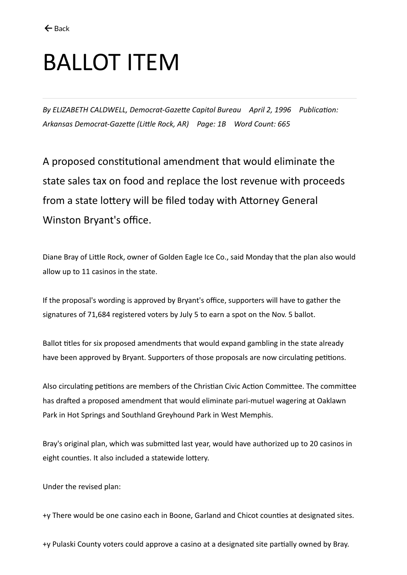## BALLOT ITEM

*By ELIZABETH CALDWELL, Democrat-Gazette Capitol Bureau April 2, 1996 Publication: Arkansas Democrat-Gazette (Little Rock, AR) Page: 1B Word Count: 665*

A proposed constitutional amendment that would eliminate the state sales tax on food and replace the lost revenue with proceeds from a state lottery will be filed today with Attorney General Winston Bryant's office.

Diane Bray of Little Rock, owner of Golden Eagle Ice Co., said Monday that the plan also would allow up to 11 casinos in the state.

If the proposal's wording is approved by Bryant's office, supporters will have to gather the signatures of 71,684 registered voters by July 5 to earn a spot on the Nov. 5 ballot.

Ballot titles for six proposed amendments that would expand gambling in the state already have been approved by Bryant. Supporters of those proposals are now circulating petitions.

Also circulating petitions are members of the Christian Civic Action Committee. The committee has drafted a proposed amendment that would eliminate pari-mutuel wagering at Oaklawn Park in Hot Springs and Southland Greyhound Park in West Memphis.

Bray's original plan, which was submitted last year, would have authorized up to 20 casinos in eight counties. It also included a statewide lottery.

Under the revised plan:

+y There would be one casino each in Boone, Garland and Chicot counties at designated sites.

+y Pulaski County voters could approve a casino at a designated site partially owned by Bray.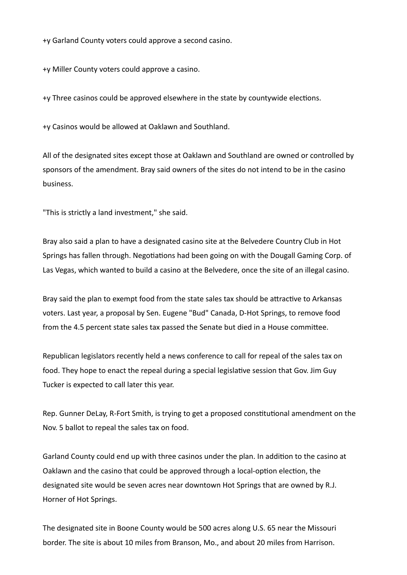+y Garland County voters could approve a second casino.

+y Miller County voters could approve a casino.

+y Three casinos could be approved elsewhere in the state by countywide elections.

+y Casinos would be allowed at Oaklawn and Southland.

All of the designated sites except those at Oaklawn and Southland are owned or controlled by sponsors of the amendment. Bray said owners of the sites do not intend to be in the casino business.

"This is strictly a land investment," she said.

Bray also said a plan to have a designated casino site at the Belvedere Country Club in Hot Springs has fallen through. Negotiations had been going on with the Dougall Gaming Corp. of Las Vegas, which wanted to build a casino at the Belvedere, once the site of an illegal casino.

Bray said the plan to exempt food from the state sales tax should be attractive to Arkansas voters. Last year, a proposal by Sen. Eugene "Bud" Canada, D-Hot Springs, to remove food from the 4.5 percent state sales tax passed the Senate but died in a House committee.

Republican legislators recently held a news conference to call for repeal of the sales tax on food. They hope to enact the repeal during a special legislative session that Gov. Jim Guy Tucker is expected to call later this year.

Rep. Gunner DeLay, R-Fort Smith, is trying to get a proposed constitutional amendment on the Nov. 5 ballot to repeal the sales tax on food.

Garland County could end up with three casinos under the plan. In addition to the casino at Oaklawn and the casino that could be approved through a local-option election, the designated site would be seven acres near downtown Hot Springs that are owned by R.J. Horner of Hot Springs.

The designated site in Boone County would be 500 acres along U.S. 65 near the Missouri border. The site is about 10 miles from Branson, Mo., and about 20 miles from Harrison.